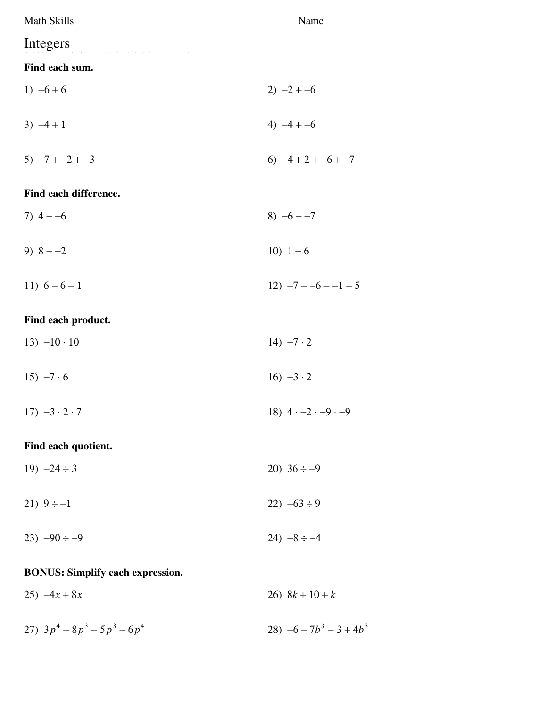| Math Skills                             | Name                               |
|-----------------------------------------|------------------------------------|
| Integers                                |                                    |
| Find each sum.                          |                                    |
| 1) $-6+6$                               | $2) -2 + -6$                       |
| $3) -4 + 1$                             | 4) $-4 + -6$                       |
| $5) -7 + -2 + -3$                       | 6) $-4+2+-6+-7$                    |
| Find each difference.                   |                                    |
| 7) $4 - -6$                             | 8) $-6 - -7$                       |
| 9) $8 - -2$                             | 10) $1-6$                          |
| 11) $6-6-1$                             | $12) -7 -6 -1 -5$                  |
| Find each product.                      |                                    |
| $13) -10 \cdot 10$                      | 14) $-7 \cdot 2$                   |
| 15) $-7.6$                              | $16) -3 \cdot 2$                   |
| $17) -3 \cdot 2 \cdot 7$                | 18) $4 \cdot -2 \cdot -9 \cdot -9$ |
| Find each quotient.                     |                                    |
| 19) $-24 \div 3$                        | 20) $36 \div -9$                   |
| 21) $9 \div -1$                         | 22) $-63 \div 9$                   |
| $23) -90 \div -9$                       | 24) $-8 \div -4$                   |
| <b>BONUS: Simplify each expression.</b> |                                    |
| $25) -4x + 8x$                          | 26) $8k + 10 + k$                  |
| 27) $3p^4 - 8p^3 - 5p^3 - 6p^4$         | 28) $-6 - 7b^3 - 3 + 4b^3$         |